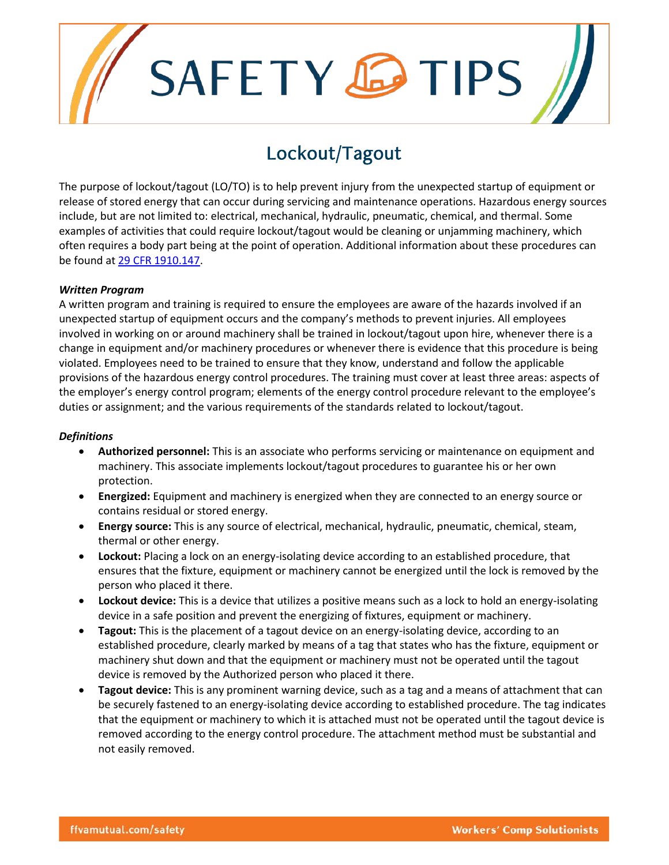# SAFETY **C**TIPS

## Lockout/Tagout

The purpose of lockout/tagout (LO/TO) is to help prevent injury from the unexpected startup of equipment or release of stored energy that can occur during servicing and maintenance operations. Hazardous energy sources include, but are not limited to: electrical, mechanical, hydraulic, pneumatic, chemical, and thermal. Some examples of activities that could require lockout/tagout would be cleaning or unjamming machinery, which often requires a body part being at the point of operation. Additional information about these procedures can be found at [29 CFR 1910.147.](https://www.osha.gov/pls/oshaweb/owadisp.show_document?p_id=9804&p_table=STANDARDS)

#### *Written Program*

A written program and training is required to ensure the employees are aware of the hazards involved if an unexpected startup of equipment occurs and the company's methods to prevent injuries. All employees involved in working on or around machinery shall be trained in lockout/tagout upon hire, whenever there is a change in equipment and/or machinery procedures or whenever there is evidence that this procedure is being violated. Employees need to be trained to ensure that they know, understand and follow the applicable provisions of the hazardous energy control procedures. The training must cover at least three areas: aspects of the employer's energy control program; elements of the energy control procedure relevant to the employee's duties or assignment; and the various requirements of the standards related to lockout/tagout.

#### *Definitions*

- **Authorized personnel:** This is an associate who performs servicing or maintenance on equipment and machinery. This associate implements lockout/tagout procedures to guarantee his or her own protection.
- **Energized:** Equipment and machinery is energized when they are connected to an energy source or contains residual or stored energy.
- **Energy source:** This is any source of electrical, mechanical, hydraulic, pneumatic, chemical, steam, thermal or other energy.
- **Lockout:** Placing a lock on an energy-isolating device according to an established procedure, that ensures that the fixture, equipment or machinery cannot be energized until the lock is removed by the person who placed it there.
- **Lockout device:** This is a device that utilizes a positive means such as a lock to hold an energy-isolating device in a safe position and prevent the energizing of fixtures, equipment or machinery.
- **Tagout:** This is the placement of a tagout device on an energy-isolating device, according to an established procedure, clearly marked by means of a tag that states who has the fixture, equipment or machinery shut down and that the equipment or machinery must not be operated until the tagout device is removed by the Authorized person who placed it there.
- **Tagout device:** This is any prominent warning device, such as a tag and a means of attachment that can be securely fastened to an energy-isolating device according to established procedure. The tag indicates that the equipment or machinery to which it is attached must not be operated until the tagout device is removed according to the energy control procedure. The attachment method must be substantial and not easily removed.